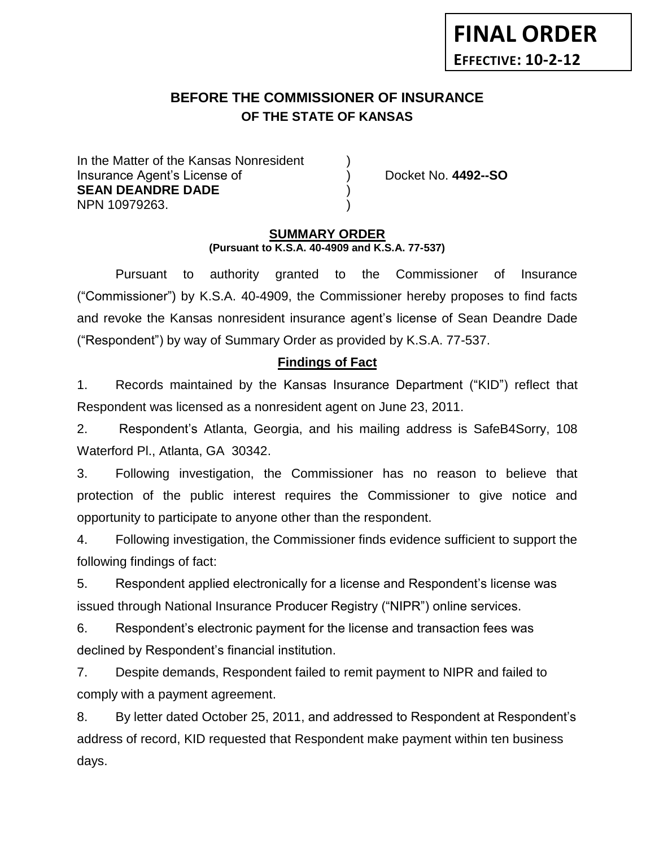# **BEFORE THE COMMISSIONER OF INSURANCE OF THE STATE OF KANSAS**

In the Matter of the Kansas Nonresident Insurance Agent's License of ) Docket No. **4492--SO SEAN DEANDRE DADE** ) NPN 10979263. )

**FINAL ORDER**

**EFFECTIVE: 10-2-12**

### **SUMMARY ORDER (Pursuant to K.S.A. 40-4909 and K.S.A. 77-537)**

Pursuant to authority granted to the Commissioner of Insurance ("Commissioner") by K.S.A. 40-4909, the Commissioner hereby proposes to find facts and revoke the Kansas nonresident insurance agent's license of Sean Deandre Dade ("Respondent") by way of Summary Order as provided by K.S.A. 77-537.

### **Findings of Fact**

1. Records maintained by the Kansas Insurance Department ("KID") reflect that Respondent was licensed as a nonresident agent on June 23, 2011.

2. Respondent's Atlanta, Georgia, and his mailing address is SafeB4Sorry, 108 Waterford Pl., Atlanta, GA 30342.

3. Following investigation, the Commissioner has no reason to believe that protection of the public interest requires the Commissioner to give notice and opportunity to participate to anyone other than the respondent.

4. Following investigation, the Commissioner finds evidence sufficient to support the following findings of fact:

5. Respondent applied electronically for a license and Respondent's license was issued through National Insurance Producer Registry ("NIPR") online services.

6. Respondent's electronic payment for the license and transaction fees was declined by Respondent's financial institution.

7. Despite demands, Respondent failed to remit payment to NIPR and failed to comply with a payment agreement.

8. By letter dated October 25, 2011, and addressed to Respondent at Respondent's address of record, KID requested that Respondent make payment within ten business days.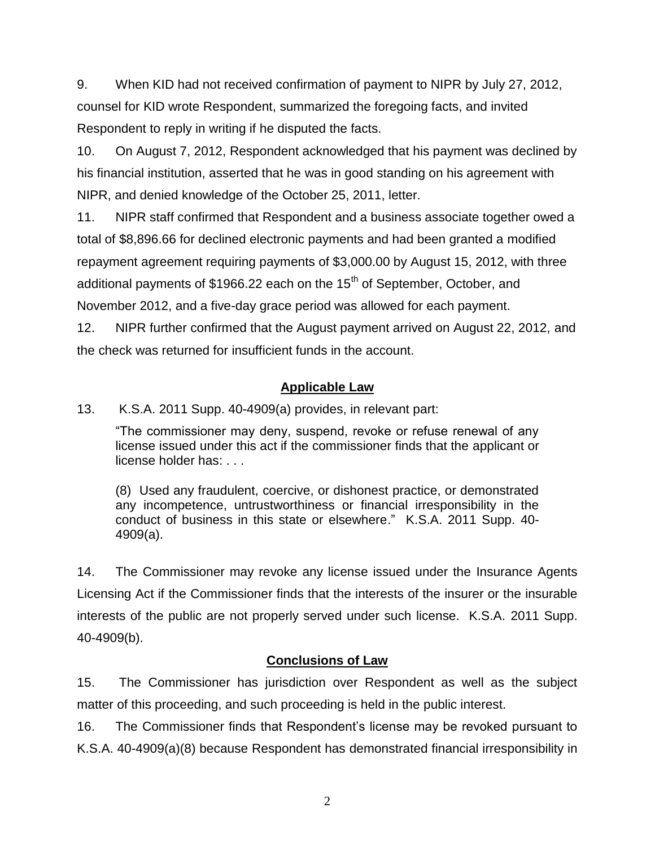9. When KID had not received confirmation of payment to NIPR by July 27, 2012, counsel for KID wrote Respondent, summarized the foregoing facts, and invited Respondent to reply in writing if he disputed the facts.

10. On August 7, 2012, Respondent acknowledged that his payment was declined by his financial institution, asserted that he was in good standing on his agreement with NIPR, and denied knowledge of the October 25, 2011, letter.

11. NIPR staff confirmed that Respondent and a business associate together owed a total of \$8,896.66 for declined electronic payments and had been granted a modified repayment agreement requiring payments of \$3,000.00 by August 15, 2012, with three additional payments of \$1966.22 each on the 15<sup>th</sup> of September, October, and November 2012, and a five-day grace period was allowed for each payment.

12. NIPR further confirmed that the August payment arrived on August 22, 2012, and the check was returned for insufficient funds in the account.

### **Applicable Law**

13. K.S.A. 2011 Supp. 40-4909(a) provides, in relevant part:

"The commissioner may deny, suspend, revoke or refuse renewal of any license issued under this act if the commissioner finds that the applicant or license holder has: . . .

(8) Used any fraudulent, coercive, or dishonest practice, or demonstrated any incompetence, untrustworthiness or financial irresponsibility in the conduct of business in this state or elsewhere." K.S.A. 2011 Supp. 40- 4909(a).

14. The Commissioner may revoke any license issued under the Insurance Agents Licensing Act if the Commissioner finds that the interests of the insurer or the insurable interests of the public are not properly served under such license. K.S.A. 2011 Supp. 40-4909(b).

## **Conclusions of Law**

15. The Commissioner has jurisdiction over Respondent as well as the subject matter of this proceeding, and such proceeding is held in the public interest.

16. The Commissioner finds that Respondent's license may be revoked pursuant to K.S.A. 40-4909(a)(8) because Respondent has demonstrated financial irresponsibility in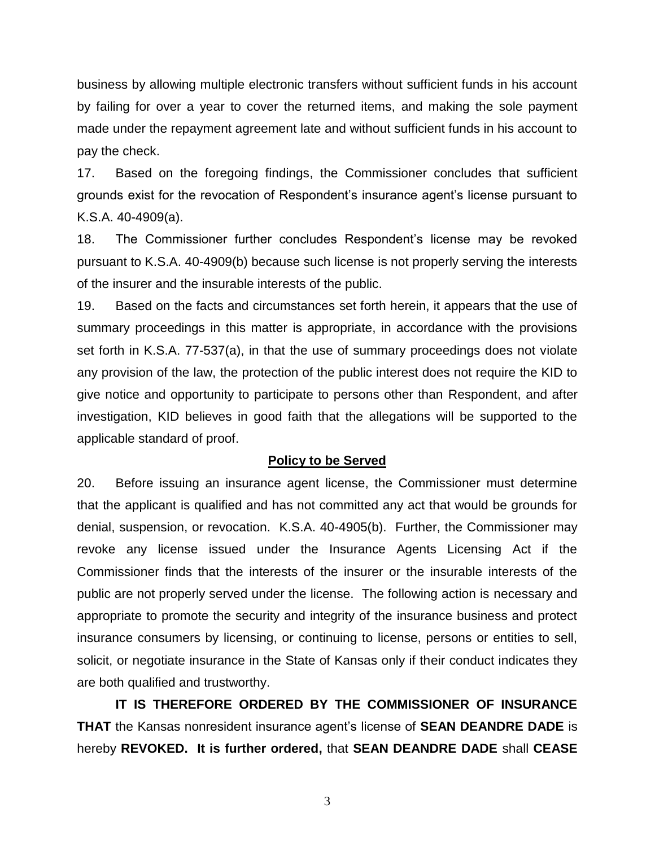business by allowing multiple electronic transfers without sufficient funds in his account by failing for over a year to cover the returned items, and making the sole payment made under the repayment agreement late and without sufficient funds in his account to pay the check.

17. Based on the foregoing findings, the Commissioner concludes that sufficient grounds exist for the revocation of Respondent's insurance agent's license pursuant to K.S.A. 40-4909(a).

18. The Commissioner further concludes Respondent's license may be revoked pursuant to K.S.A. 40-4909(b) because such license is not properly serving the interests of the insurer and the insurable interests of the public.

19. Based on the facts and circumstances set forth herein, it appears that the use of summary proceedings in this matter is appropriate, in accordance with the provisions set forth in K.S.A. 77-537(a), in that the use of summary proceedings does not violate any provision of the law, the protection of the public interest does not require the KID to give notice and opportunity to participate to persons other than Respondent, and after investigation, KID believes in good faith that the allegations will be supported to the applicable standard of proof.

#### **Policy to be Served**

20. Before issuing an insurance agent license, the Commissioner must determine that the applicant is qualified and has not committed any act that would be grounds for denial, suspension, or revocation. K.S.A. 40-4905(b). Further, the Commissioner may revoke any license issued under the Insurance Agents Licensing Act if the Commissioner finds that the interests of the insurer or the insurable interests of the public are not properly served under the license. The following action is necessary and appropriate to promote the security and integrity of the insurance business and protect insurance consumers by licensing, or continuing to license, persons or entities to sell, solicit, or negotiate insurance in the State of Kansas only if their conduct indicates they are both qualified and trustworthy.

**IT IS THEREFORE ORDERED BY THE COMMISSIONER OF INSURANCE THAT** the Kansas nonresident insurance agent's license of **SEAN DEANDRE DADE** is hereby **REVOKED. It is further ordered,** that **SEAN DEANDRE DADE** shall **CEASE** 

3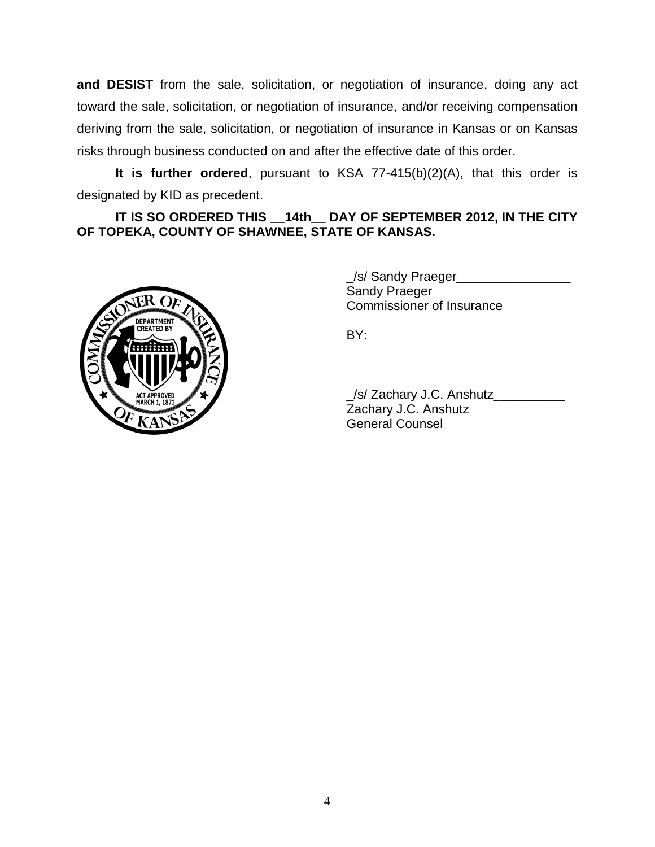**and DESIST** from the sale, solicitation, or negotiation of insurance, doing any act toward the sale, solicitation, or negotiation of insurance, and/or receiving compensation deriving from the sale, solicitation, or negotiation of insurance in Kansas or on Kansas risks through business conducted on and after the effective date of this order.

**It is further ordered**, pursuant to KSA 77-415(b)(2)(A), that this order is designated by KID as precedent.

**IT IS SO ORDERED THIS \_\_14th\_\_ DAY OF SEPTEMBER 2012, IN THE CITY OF TOPEKA, COUNTY OF SHAWNEE, STATE OF KANSAS.**



\_/s/ Sandy Praeger\_\_\_\_\_\_\_\_\_\_\_\_\_\_\_\_ Sandy Praeger Commissioner of Insurance

BY:

\_/s/ Zachary J.C. Anshutz\_\_\_\_\_\_\_\_\_\_ Zachary J.C. Anshutz General Counsel